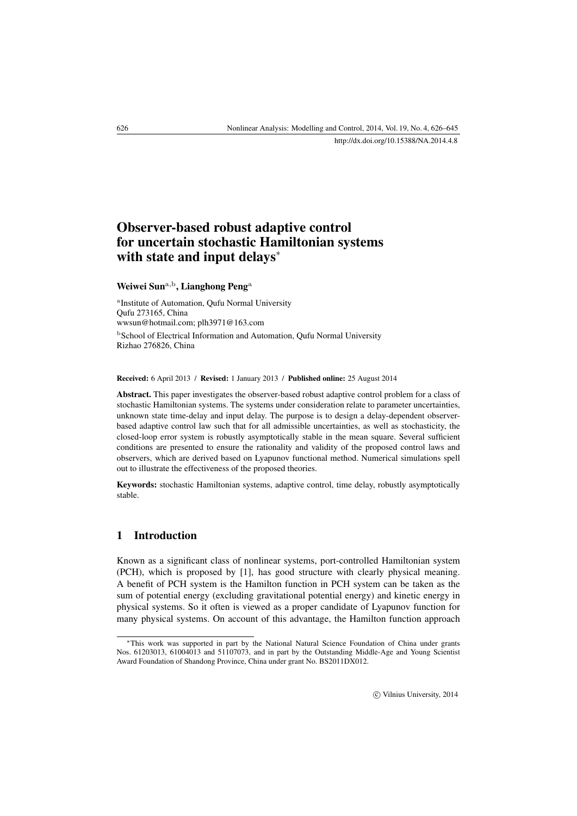# Observer-based robust adaptive control for uncertain stochastic Hamiltonian systems with state and input delays<sup>\*</sup>

## Weiwei Sun<sup>a,b</sup>, Lianghong Peng<sup>a</sup>

<sup>a</sup>Institute of Automation, Qufu Normal University Qufu 273165, China [wwsun@hotmail.com;](mailto:wwsun@hotmail.com) [plh3971@163.com](mailto:plh3971@163.com) <sup>b</sup> School of Electrical Information and Automation, Qufu Normal University Rizhao 276826, China

#### Received: 6 April 2013 / Revised: 1 January 2013 / Published online: 25 August 2014

Abstract. This paper investigates the observer-based robust adaptive control problem for a class of stochastic Hamiltonian systems. The systems under consideration relate to parameter uncertainties, unknown state time-delay and input delay. The purpose is to design a delay-dependent observerbased adaptive control law such that for all admissible uncertainties, as well as stochasticity, the closed-loop error system is robustly asymptotically stable in the mean square. Several sufficient conditions are presented to ensure the rationality and validity of the proposed control laws and observers, which are derived based on Lyapunov functional method. Numerical simulations spell out to illustrate the effectiveness of the proposed theories.

Keywords: stochastic Hamiltonian systems, adaptive control, time delay, robustly asymptotically stable.

## 1 Introduction

Known as a significant class of nonlinear systems, port-controlled Hamiltonian system (PCH), which is proposed by [\[1\]](#page-18-0), has good structure with clearly physical meaning. A benefit of PCH system is the Hamilton function in PCH system can be taken as the sum of potential energy (excluding gravitational potential energy) and kinetic energy in physical systems. So it often is viewed as a proper candidate of Lyapunov function for many physical systems. On account of this advantage, the Hamilton function approach

<span id="page-0-0"></span><sup>∗</sup>This work was supported in part by the National Natural Science Foundation of China under grants Nos. 61203013, 61004013 and 51107073, and in part by the Outstanding Middle-Age and Young Scientist Award Foundation of Shandong Province, China under grant No. BS2011DX012.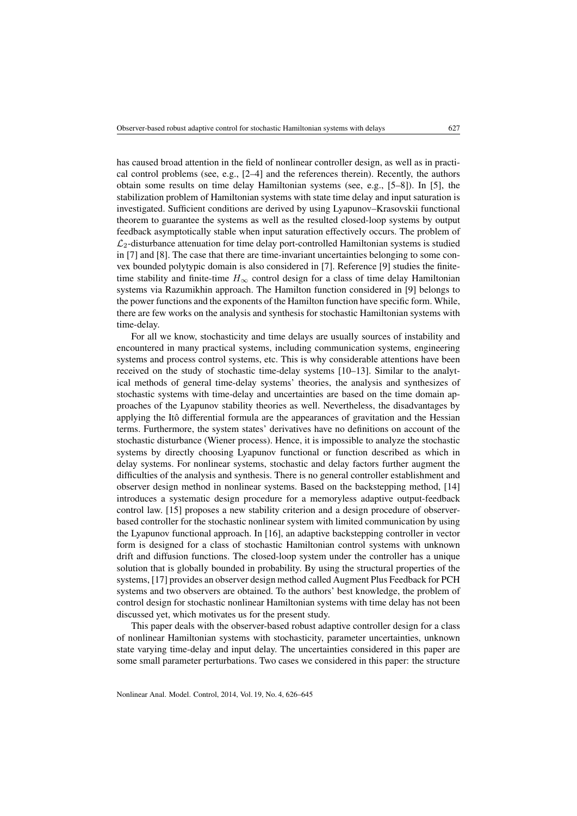has caused broad attention in the field of nonlinear controller design, as well as in practical control problems (see, e.g., [\[2](#page-18-1)[–4\]](#page-18-2) and the references therein). Recently, the authors obtain some results on time delay Hamiltonian systems (see, e.g., [\[5](#page-18-3)[–8\]](#page-18-4)). In [\[5\]](#page-18-3), the stabilization problem of Hamiltonian systems with state time delay and input saturation is investigated. Sufficient conditions are derived by using Lyapunov–Krasovskii functional theorem to guarantee the systems as well as the resulted closed-loop systems by output feedback asymptotically stable when input saturation effectively occurs. The problem of  $\mathcal{L}_2$ -disturbance attenuation for time delay port-controlled Hamiltonian systems is studied in [\[7\]](#page-18-5) and [\[8\]](#page-18-4). The case that there are time-invariant uncertainties belonging to some convex bounded polytypic domain is also considered in [\[7\]](#page-18-5). Reference [\[9\]](#page-18-6) studies the finitetime stability and finite-time  $H_{\infty}$  control design for a class of time delay Hamiltonian systems via Razumikhin approach. The Hamilton function considered in [\[9\]](#page-18-6) belongs to the power functions and the exponents of the Hamilton function have specific form. While, there are few works on the analysis and synthesis for stochastic Hamiltonian systems with time-delay.

For all we know, stochasticity and time delays are usually sources of instability and encountered in many practical systems, including communication systems, engineering systems and process control systems, etc. This is why considerable attentions have been received on the study of stochastic time-delay systems [\[10](#page-18-7)[–13\]](#page-18-8). Similar to the analytical methods of general time-delay systems' theories, the analysis and synthesizes of stochastic systems with time-delay and uncertainties are based on the time domain approaches of the Lyapunov stability theories as well. Nevertheless, the disadvantages by applying the Itô differential formula are the appearances of gravitation and the Hessian terms. Furthermore, the system states' derivatives have no definitions on account of the stochastic disturbance (Wiener process). Hence, it is impossible to analyze the stochastic systems by directly choosing Lyapunov functional or function described as which in delay systems. For nonlinear systems, stochastic and delay factors further augment the difficulties of the analysis and synthesis. There is no general controller establishment and observer design method in nonlinear systems. Based on the backstepping method, [\[14\]](#page-18-9) introduces a systematic design procedure for a memoryless adaptive output-feedback control law. [\[15\]](#page-19-0) proposes a new stability criterion and a design procedure of observerbased controller for the stochastic nonlinear system with limited communication by using the Lyapunov functional approach. In [\[16\]](#page-19-1), an adaptive backstepping controller in vector form is designed for a class of stochastic Hamiltonian control systems with unknown drift and diffusion functions. The closed-loop system under the controller has a unique solution that is globally bounded in probability. By using the structural properties of the systems, [\[17\]](#page-19-2) provides an observer design method called Augment Plus Feedback for PCH systems and two observers are obtained. To the authors' best knowledge, the problem of control design for stochastic nonlinear Hamiltonian systems with time delay has not been discussed yet, which motivates us for the present study.

This paper deals with the observer-based robust adaptive controller design for a class of nonlinear Hamiltonian systems with stochasticity, parameter uncertainties, unknown state varying time-delay and input delay. The uncertainties considered in this paper are some small parameter perturbations. Two cases we considered in this paper: the structure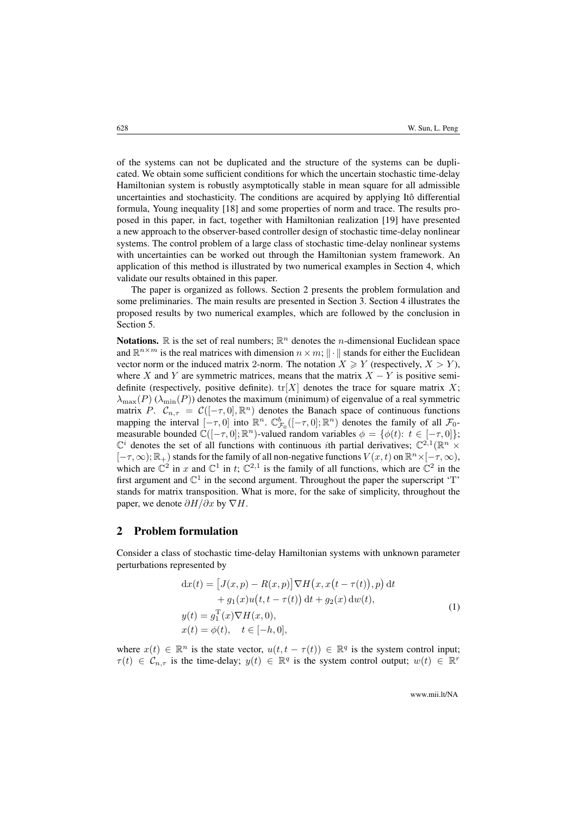of the systems can not be duplicated and the structure of the systems can be duplicated. We obtain some sufficient conditions for which the uncertain stochastic time-delay Hamiltonian system is robustly asymptotically stable in mean square for all admissible uncertainties and stochasticity. The conditions are acquired by applying Itô differential formula, Young inequality [\[18\]](#page-19-3) and some properties of norm and trace. The results proposed in this paper, in fact, together with Hamiltonian realization [\[19\]](#page-19-4) have presented a new approach to the observer-based controller design of stochastic time-delay nonlinear systems. The control problem of a large class of stochastic time-delay nonlinear systems with uncertainties can be worked out through the Hamiltonian system framework. An application of this method is illustrated by two numerical examples in Section [4,](#page-12-0) which validate our results obtained in this paper.

The paper is organized as follows. Section [2](#page-2-0) presents the problem formulation and some preliminaries. The main results are presented in Section [3.](#page-6-0) Section [4](#page-12-0) illustrates the proposed results by two numerical examples, which are followed by the conclusion in Section [5.](#page-17-0)

**Notations.**  $\mathbb R$  is the set of real numbers;  $\mathbb R^n$  denotes the *n*-dimensional Euclidean space and  $\mathbb{R}^{n \times m}$  is the real matrices with dimension  $n \times m$ ;  $\|\cdot\|$  stands for either the Euclidean vector norm or the induced matrix 2-norm. The notation  $X \ge Y$  (respectively,  $X > Y$ ), where X and Y are symmetric matrices, means that the matrix  $X - Y$  is positive semidefinite (respectively, positive definite).  $tr[X]$  denotes the trace for square matrix X;  $\lambda_{\text{max}}(P)$  ( $\lambda_{\text{min}}(P)$ ) denotes the maximum (minimum) of eigenvalue of a real symmetric matrix P.  $C_{n,\tau} = C([- \tau, 0], \mathbb{R}^n)$  denotes the Banach space of continuous functions mapping the interval  $[-\tau, 0]$  into  $\mathbb{R}^n$ .  $\mathbb{C}^b_{\mathcal{F}_0}([- \tau, 0]; \mathbb{R}^n)$  denotes the family of all  $\mathcal{F}_0$ measurable bounded  $\mathbb{C}([-\tau,0];\mathbb{R}^n)$ -valued random variables  $\phi = {\phi(t): t \in [-\tau,0]};$  $\mathbb{C}^i$  denotes the set of all functions with continuous *i*th partial derivatives;  $\mathbb{C}^{2,1}(\mathbb{R}^n \times$  $[-\tau,\infty); \mathbb{R}_+$ ) stands for the family of all non-negative functions  $V(x,t)$  on  $\mathbb{R}^n \times [-\tau,\infty)$ , which are  $\mathbb{C}^2$  in x and  $\mathbb{C}^1$  in t;  $\mathbb{C}^{2,1}$  is the family of all functions, which are  $\mathbb{C}^2$  in the first argument and  $\mathbb{C}^1$  in the second argument. Throughout the paper the superscript 'T' stands for matrix transposition. What is more, for the sake of simplicity, throughout the paper, we denote  $\partial H/\partial x$  by  $\nabla H$ .

#### <span id="page-2-0"></span>2 Problem formulation

Consider a class of stochastic time-delay Hamiltonian systems with unknown parameter perturbations represented by

$$
dx(t) = [J(x, p) - R(x, p)] \nabla H(x, x(t - \tau(t)), p) dt
$$
  
+ 
$$
g_1(x)u(t, t - \tau(t)) dt + g_2(x) dw(t),
$$
  

$$
y(t) = g_1^T(x) \nabla H(x, 0),
$$
  

$$
x(t) = \phi(t), \quad t \in [-h, 0],
$$
 (1)

<span id="page-2-1"></span>where  $x(t) \in \mathbb{R}^n$  is the state vector,  $u(t, t - \tau(t)) \in \mathbb{R}^q$  is the system control input;  $\tau(t) \in \mathcal{C}_{n,\tau}$  is the time-delay;  $y(t) \in \mathbb{R}^q$  is the system control output;  $w(t) \in \mathbb{R}^r$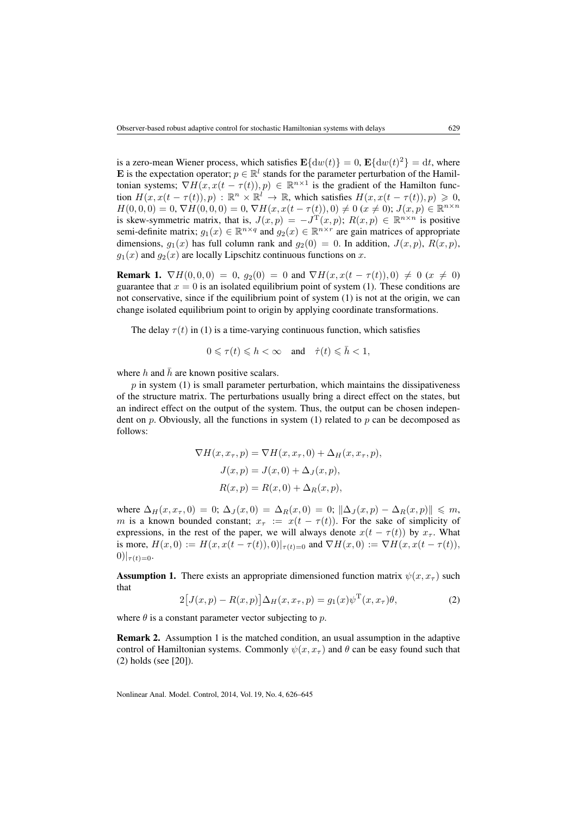is a zero-mean Wiener process, which satisfies  $\mathbf{E}\{\mathrm{d}w(t)\}=0$ ,  $\mathbf{E}\{\mathrm{d}w(t)^2\}=\mathrm{d}t$ , where E is the expectation operator;  $p \in \mathbb{R}^l$  stands for the parameter perturbation of the Hamiltonian systems;  $\nabla H(x, x(t - \tau(t)), p) \in \mathbb{R}^{n \times 1}$  is the gradient of the Hamilton function  $H(x, x(t - \tau(t)), p)$ :  $\mathbb{R}^n \times \mathbb{R}^l \to \mathbb{R}$ , which satisfies  $H(x, x(t - \tau(t)), p) \ge 0$ ,  $H(0, 0, 0) = 0$ ,  $\nabla H(0, 0, 0) = 0$ ,  $\nabla H(x, x(t - \tau(t)), 0) \neq 0$  ( $x \neq 0$ );  $J(x, p) \in \mathbb{R}^{n \times n}$ is skew-symmetric matrix, that is,  $J(x,p) = -J^{\mathrm{T}}(x,p); R(x,p) \in \mathbb{R}^{n \times n}$  is positive semi-definite matrix;  $g_1(x) \in \mathbb{R}^{n \times q}$  and  $g_2(x) \in \mathbb{R}^{n \times r}$  are gain matrices of appropriate dimensions,  $q_1(x)$  has full column rank and  $q_2(0) = 0$ . In addition,  $J(x, p)$ ,  $R(x, p)$ ,  $q_1(x)$  and  $q_2(x)$  are locally Lipschitz continuous functions on x.

**Remark 1.**  $\nabla H(0,0,0) = 0$ ,  $g_2(0) = 0$  and  $\nabla H(x, x(t - \tau(t)), 0) \neq 0$  ( $x \neq 0$ ) guarantee that  $x = 0$  is an isolated equilibrium point of system [\(1\)](#page-2-1). These conditions are not conservative, since if the equilibrium point of system [\(1\)](#page-2-1) is not at the origin, we can change isolated equilibrium point to origin by applying coordinate transformations.

The delay  $\tau(t)$  in [\(1\)](#page-2-1) is a time-varying continuous function, which satisfies

$$
0 \leqslant \tau(t) \leqslant h < \infty \quad \text{and} \quad \dot{\tau}(t) \leqslant \bar{h} < 1,
$$

where h and  $\bar{h}$  are known positive scalars.

 $p$  in system [\(1\)](#page-2-1) is small parameter perturbation, which maintains the dissipativeness of the structure matrix. The perturbations usually bring a direct effect on the states, but an indirect effect on the output of the system. Thus, the output can be chosen independent on p. Obviously, all the functions in system  $(1)$  related to p can be decomposed as follows:

$$
\nabla H(x, x_{\tau}, p) = \nabla H(x, x_{\tau}, 0) + \Delta_H(x, x_{\tau}, p),
$$

$$
J(x, p) = J(x, 0) + \Delta_J(x, p),
$$

$$
R(x, p) = R(x, 0) + \Delta_R(x, p),
$$

where  $\Delta_H(x, x_\tau, 0) = 0$ ;  $\Delta_J(x, 0) = \Delta_R(x, 0) = 0$ ;  $\|\Delta_J(x, p) - \Delta_R(x, p)\| \leq m$ , m is a known bounded constant;  $x_{\tau} := x(t - \tau(t))$ . For the sake of simplicity of expressions, in the rest of the paper, we will always denote  $x(t - \tau(t))$  by  $x_{\tau}$ . What is more,  $H(x, 0) := H(x, x(t - \tau(t)), 0)|_{\tau(t) = 0}$  and  $\nabla H(x, 0) := \nabla H(x, x(t - \tau(t)),$  $0)|_{\tau(t)=0}.$ 

<span id="page-3-0"></span>**Assumption 1.** There exists an appropriate dimensioned function matrix  $\psi(x, x_\tau)$  such that

<span id="page-3-1"></span>
$$
2\big[J(x,p) - R(x,p)\big]\Delta_H(x,x_\tau,p) = g_1(x)\psi^{\mathrm{T}}(x,x_\tau)\theta,\tag{2}
$$

where  $\theta$  is a constant parameter vector subjecting to  $p$ .

Remark 2. Assumption [1](#page-3-0) is the matched condition, an usual assumption in the adaptive control of Hamiltonian systems. Commonly  $\psi(x, x_{\tau})$  and  $\theta$  can be easy found such that [\(2\)](#page-3-1) holds (see [\[20\]](#page-19-5)).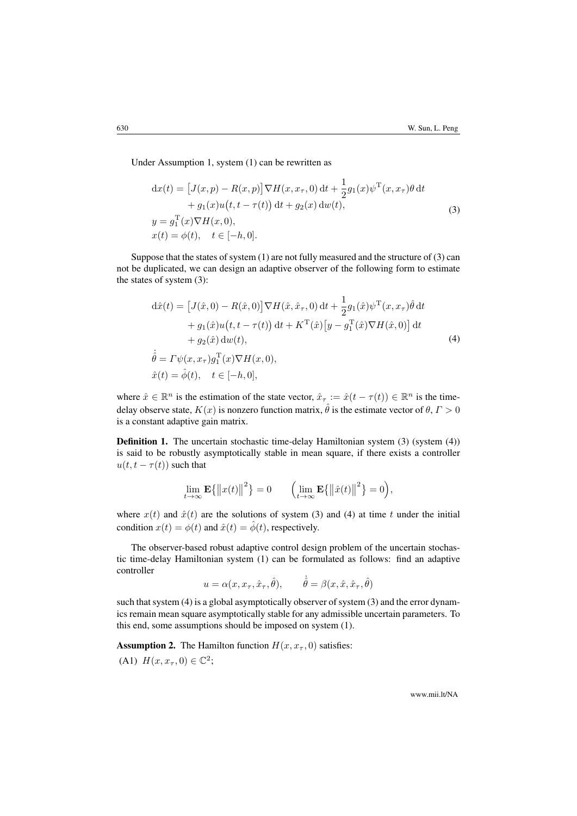Under Assumption [1,](#page-3-0) system [\(1\)](#page-2-1) can be rewritten as

<span id="page-4-0"></span>
$$
dx(t) = [J(x, p) - R(x, p)] \nabla H(x, x_\tau, 0) dt + \frac{1}{2} g_1(x) \psi^T(x, x_\tau) \theta dt
$$
  
+ 
$$
g_1(x) u(t, t - \tau(t)) dt + g_2(x) dw(t),
$$
  

$$
y = g_1^T(x) \nabla H(x, 0),
$$
  

$$
x(t) = \phi(t), \quad t \in [-h, 0].
$$
 (3)

Suppose that the states of system [\(1\)](#page-2-1) are not fully measured and the structure of [\(3\)](#page-4-0) can not be duplicated, we can design an adaptive observer of the following form to estimate the states of system [\(3\)](#page-4-0):

<span id="page-4-1"></span>
$$
d\hat{x}(t) = [J(\hat{x}, 0) - R(\hat{x}, 0)] \nabla H(\hat{x}, \hat{x}_{\tau}, 0) dt + \frac{1}{2} g_1(\hat{x}) \psi^{\mathrm{T}}(x, x_{\tau}) \hat{\theta} dt + g_1(\hat{x}) u(t, t - \tau(t)) dt + K^{\mathrm{T}}(\hat{x}) [y - g_1^{\mathrm{T}}(\hat{x}) \nabla H(\hat{x}, 0)] dt + g_2(\hat{x}) dw(t), \n\dot{\hat{\theta}} = \Gamma \psi(x, x_{\tau}) g_1^{\mathrm{T}}(x) \nabla H(x, 0), \n\hat{x}(t) = \hat{\phi}(t), \quad t \in [-h, 0],
$$
\n(4)

where  $\hat{x} \in \mathbb{R}^n$  is the estimation of the state vector,  $\hat{x}_\tau := \hat{x}(t - \tau(t)) \in \mathbb{R}^n$  is the timedelay observe state,  $K(x)$  is nonzero function matrix,  $\hat{\theta}$  is the estimate vector of  $\theta, \Gamma > 0$ is a constant adaptive gain matrix.

<span id="page-4-3"></span>Definition 1. The uncertain stochastic time-delay Hamiltonian system [\(3\)](#page-4-0) (system [\(4\)](#page-4-1)) is said to be robustly asymptotically stable in mean square, if there exists a controller  $u(t, t - \tau(t))$  such that

$$
\lim_{t \to \infty} \mathbf{E} \{ ||x(t)||^2 \} = 0 \qquad \left( \lim_{t \to \infty} \mathbf{E} \{ ||\hat{x}(t)||^2 \} = 0 \right),
$$

where  $x(t)$  and  $\hat{x}(t)$  are the solutions of system [\(3\)](#page-4-0) and [\(4\)](#page-4-1) at time t under the initial condition  $x(t) = \phi(t)$  and  $\hat{x}(t) = \hat{\phi}(t)$ , respectively.

The observer-based robust adaptive control design problem of the uncertain stochastic time-delay Hamiltonian system [\(1\)](#page-2-1) can be formulated as follows: find an adaptive controller

$$
u = \alpha(x, x_{\tau}, \hat{x}_{\tau}, \hat{\theta}), \qquad \dot{\hat{\theta}} = \beta(x, \hat{x}, \hat{x}_{\tau}, \hat{\theta})
$$

such that system [\(4\)](#page-4-1) is a global asymptotically observer of system [\(3\)](#page-4-0) and the error dynamics remain mean square asymptotically stable for any admissible uncertain parameters. To this end, some assumptions should be imposed on system [\(1\)](#page-2-1).

<span id="page-4-2"></span>**Assumption 2.** The Hamilton function  $H(x, x_7, 0)$  satisfies:

(A1)  $H(x, x_{\tau}, 0) \in \mathbb{C}^2$ ;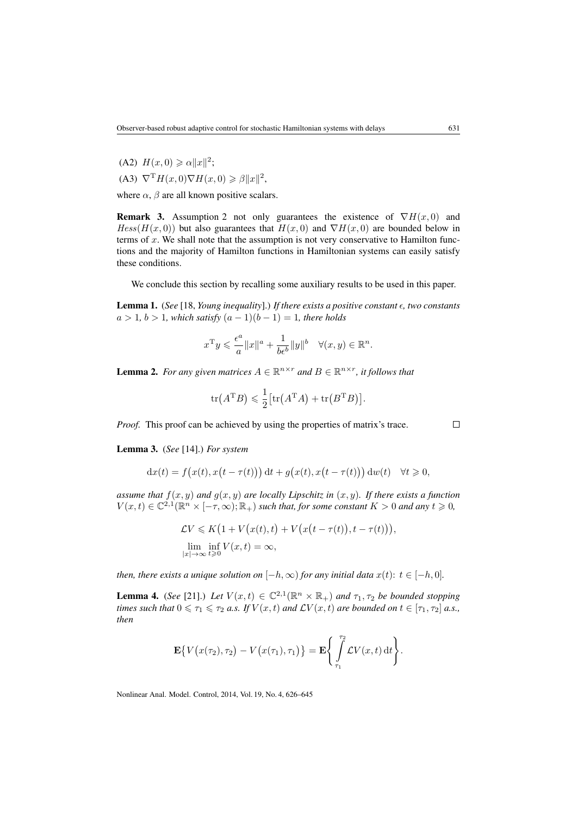(A2)  $H(x, 0) \ge \alpha ||x||^2;$ (A3)  $\nabla^{\mathrm{T}} H(x,0) \nabla H(x,0) \geq \beta ||x||^2$ ,

where  $\alpha$ ,  $\beta$  are all known positive scalars.

**Remark 3.** Assumption [2](#page-4-2) not only guarantees the existence of  $\nabla H(x, 0)$  and  $Hess(H(x, 0))$  but also guarantees that  $H(x, 0)$  and  $\nabla H(x, 0)$  are bounded below in terms of  $x$ . We shall note that the assumption is not very conservative to Hamilton functions and the majority of Hamilton functions in Hamiltonian systems can easily satisfy these conditions.

We conclude this section by recalling some auxiliary results to be used in this paper.

<span id="page-5-1"></span>Lemma 1. (*See* [\[18,](#page-19-3) *Young inequality*].) *If there exists a positive constant , two constants*  $a > 1, b > 1$ , which satisfy  $(a - 1)(b - 1) = 1$ , there holds

$$
x^{\mathrm{T}}y \leqslant \frac{\epsilon^a}{a} \|x\|^a + \frac{1}{b\epsilon^b} \|y\|^b \quad \forall (x, y) \in \mathbb{R}^n.
$$

<span id="page-5-0"></span>**Lemma 2.** For any given matrices  $A \in \mathbb{R}^{n \times r}$  and  $B \in \mathbb{R}^{n \times r}$ , it follows that

$$
\text{tr}(A^{\text{T}}B) \leqslant \frac{1}{2} \big[\text{tr}(A^{\text{T}}A) + \text{tr}(B^{\text{T}}B)\big].
$$

*Proof.* This proof can be achieved by using the properties of matrix's trace.

<span id="page-5-3"></span>Lemma 3. (*See* [\[14\]](#page-18-9).) *For system*

$$
dx(t) = f(x(t), x(t - \tau(t))) dt + g(x(t), x(t - \tau(t))) dw(t) \quad \forall t \ge 0,
$$

*assume that*  $f(x, y)$  *and*  $g(x, y)$  *are locally Lipschitz in*  $(x, y)$ *. If there exists a function*  $V(x,t) \in \mathbb{C}^{2,1}(\mathbb{R}^n \times [-\tau,\infty); \mathbb{R}_+)$  *such that, for some constant*  $K > 0$  *and any*  $t \ge 0$ *,* 

$$
\mathcal{L}V \leqslant K\big(1 + V\big(x(t), t\big) + V\big(x\big(t - \tau(t)\big), t - \tau(t)\big)\big),
$$
  

$$
\lim_{|x| \to \infty} \inf_{t \geqslant 0} V(x, t) = \infty,
$$

*then, there exists a unique solution on*  $[-h, \infty)$  *for any initial data*  $x(t)$ :  $t \in [-h, 0]$ *.* 

<span id="page-5-2"></span>**Lemma 4.** (*See* [\[21\]](#page-19-6).) Let  $V(x,t) \in \mathbb{C}^{2,1}(\mathbb{R}^n \times \mathbb{R}_+)$  and  $\tau_1, \tau_2$  be bounded stopping *times such that*  $0 \le \tau_1 \le \tau_2$  *a.s. If*  $V(x, t)$  *and*  $\mathcal{L}V(x, t)$  *are bounded on*  $t \in [\tau_1, \tau_2]$  *a.s., then*

$$
\mathbf{E}\big\{V\big(x(\tau_2),\tau_2\big)-V\big(x(\tau_1),\tau_1\big)\big\}=\mathbf{E}\Bigg\{\int\limits_{\tau_1}^{\tau_2}\mathcal{L}V(x,t)\,\mathrm{d}t\Bigg\}.
$$

Nonlinear Anal. Model. Control, 2014, Vol. 19, No. 4, 626–645

 $\Box$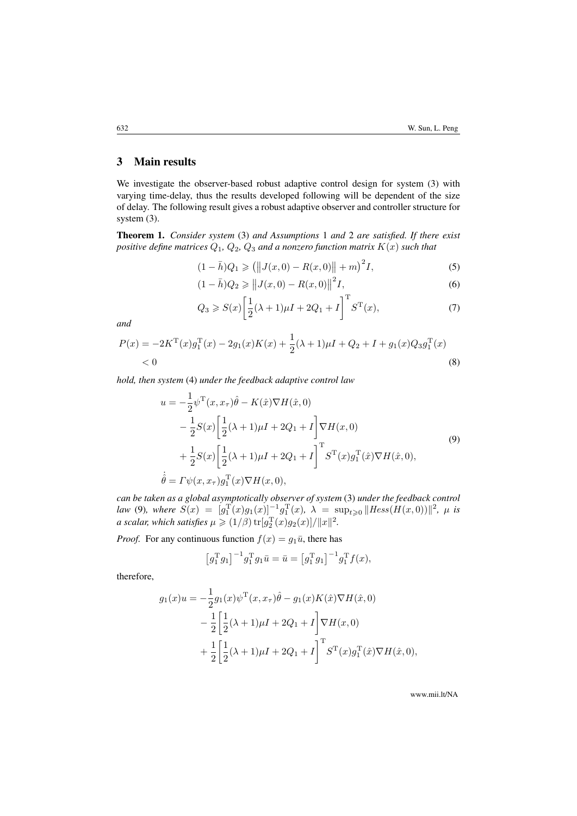## <span id="page-6-0"></span>3 Main results

We investigate the observer-based robust adaptive control design for system [\(3\)](#page-4-0) with varying time-delay, thus the results developed following will be dependent of the size of delay. The following result gives a robust adaptive observer and controller structure for system [\(3\)](#page-4-0).

<span id="page-6-6"></span>Theorem 1. *Consider system* [\(3\)](#page-4-0) *and Assumptions* [1](#page-3-0) *and* [2](#page-4-2) *are satisfied. If there exist positive define matrices*  $Q_1$ ,  $Q_2$ ,  $Q_3$  *and a nonzero function matrix*  $K(x)$  *such that* 

$$
(1 - \bar{h})Q_1 \ge ||J(x, 0) - R(x, 0)|| + m)^2 I,
$$
\n(5)

<span id="page-6-4"></span><span id="page-6-3"></span>
$$
(1 - \bar{h})Q_2 \ge ||J(x, 0) - R(x, 0)||^2 I,
$$
\n(6)

<span id="page-6-5"></span><span id="page-6-2"></span>
$$
Q_3 \ge S(x) \left[ \frac{1}{2} (\lambda + 1) \mu I + 2Q_1 + I \right]^{\mathrm{T}} S^{\mathrm{T}}(x), \tag{7}
$$

*and*

$$
P(x) = -2K^{T}(x)g_{1}^{T}(x) - 2g_{1}(x)K(x) + \frac{1}{2}(\lambda + 1)\mu + Q_{2} + I + g_{1}(x)Q_{3}g_{1}^{T}(x)
$$
  
< 0 (8)

*hold, then system* [\(4\)](#page-4-1) *under the feedback adaptive control law*

<span id="page-6-1"></span>
$$
u = -\frac{1}{2} \psi^{\mathrm{T}}(x, x_{\tau}) \hat{\theta} - K(\hat{x}) \nabla H(\hat{x}, 0)
$$
  
\n
$$
-\frac{1}{2} S(x) \left[ \frac{1}{2} (\lambda + 1) \mu I + 2Q_{1} + I \right] \nabla H(x, 0)
$$
  
\n
$$
+\frac{1}{2} S(x) \left[ \frac{1}{2} (\lambda + 1) \mu I + 2Q_{1} + I \right]^{\mathrm{T}} S^{\mathrm{T}}(x) g_{1}^{\mathrm{T}}(\hat{x}) \nabla H(\hat{x}, 0),
$$
  
\n
$$
\dot{\hat{\theta}} = \Gamma \psi(x, x_{\tau}) g_{1}^{\mathrm{T}}(x) \nabla H(x, 0),
$$
\n(9)

*can be taken as a global asymptotically observer of system* [\(3\)](#page-4-0) *under the feedback control law* [\(9\)](#page-6-1)*, where*  $S(x) = [g_1^{\rm T}(x)g_1(x)]^{-1}g_1^{\rm T}(x)$ ,  $\lambda = \sup_{t \geq 0} ||Hess(H(x, 0))||^2$ ,  $\mu$  *is a* scalar, which satisfies  $\mu \geqslant (1/\beta) \operatorname{tr}[g_2^{\mathrm{T}}(x) g_2(x)] / \|x\|^2$ .

*Proof.* For any continuous function  $f(x) = g_1\bar{u}$ , there has

$$
\left[g_1^{\mathrm{T}}g_1\right]^{-1}g_1^{\mathrm{T}}g_1\bar{u} = \bar{u} = \left[g_1^{\mathrm{T}}g_1\right]^{-1}g_1^{\mathrm{T}}f(x),
$$

therefore,

$$
g_1(x)u = -\frac{1}{2}g_1(x)\psi^{\mathrm{T}}(x, x_\tau)\hat{\theta} - g_1(x)K(\hat{x})\nabla H(\hat{x}, 0) -\frac{1}{2}\left[\frac{1}{2}(\lambda + 1)\mu + 2Q_1 + I\right]\nabla H(x, 0) +\frac{1}{2}\left[\frac{1}{2}(\lambda + 1)\mu + 2Q_1 + I\right]^{\mathrm{T}}S^{\mathrm{T}}(x)g_1^{\mathrm{T}}(\hat{x})\nabla H(\hat{x}, 0),
$$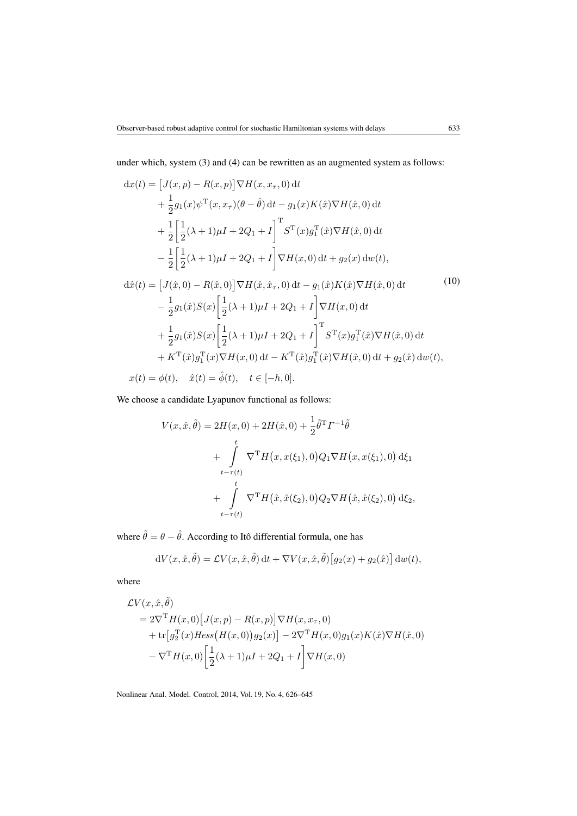under which, system [\(3\)](#page-4-0) and [\(4\)](#page-4-1) can be rewritten as an augmented system as follows:

<span id="page-7-0"></span>
$$
dx(t) = [J(x, p) - R(x, p)] \nabla H(x, x_{\tau}, 0) dt \n+ \frac{1}{2} g_1(x) \psi^T(x, x_{\tau}) (\theta - \hat{\theta}) dt - g_1(x) K(\hat{x}) \nabla H(\hat{x}, 0) dt \n+ \frac{1}{2} \left[ \frac{1}{2} (\lambda + 1) \mu I + 2Q_1 + I \right]^T S^T(x) g_1^T(\hat{x}) \nabla H(\hat{x}, 0) dt \n- \frac{1}{2} \left[ \frac{1}{2} (\lambda + 1) \mu I + 2Q_1 + I \right] \nabla H(x, 0) dt + g_2(x) dw(t), \nd\hat{x}(t) = [J(\hat{x}, 0) - R(\hat{x}, 0)] \nabla H(\hat{x}, \hat{x}_{\tau}, 0) dt - g_1(\hat{x}) K(\hat{x}) \nabla H(\hat{x}, 0) dt \n- \frac{1}{2} g_1(\hat{x}) S(x) \left[ \frac{1}{2} (\lambda + 1) \mu I + 2Q_1 + I \right]^T S^T(x) g_1^T(\hat{x}) \nabla H(\hat{x}, 0) dt \n+ \frac{1}{2} g_1(\hat{x}) S(x) \left[ \frac{1}{2} (\lambda + 1) \mu I + 2Q_1 + I \right]^T S^T(x) g_1^T(\hat{x}) \nabla H(\hat{x}, 0) dt \n+ K^T(\hat{x}) g_1^T(x) \nabla H(x, 0) dt - K^T(\hat{x}) g_1^T(\hat{x}) \nabla H(\hat{x}, 0) dt + g_2(\hat{x}) dw(t), \nx(t) = \phi(t), \quad \hat{x}(t) = \hat{\phi}(t), \quad t \in [-h, 0].
$$
\n(10)

We choose a candidate Lyapunov functional as follows:

$$
V(x, \hat{x}, \tilde{\theta}) = 2H(x, 0) + 2H(\hat{x}, 0) + \frac{1}{2}\tilde{\theta}^{\mathrm{T}}\Gamma^{-1}\tilde{\theta} + \int_{t-\tau(t)}^{t} \nabla^{\mathrm{T}}H(x, x(\xi_1), 0)Q_1\nabla H(x, x(\xi_1), 0) d\xi_1 + \int_{t-\tau(t)}^{t} \nabla^{\mathrm{T}}H(\hat{x}, \hat{x}(\xi_2), 0)Q_2\nabla H(\hat{x}, \hat{x}(\xi_2), 0) d\xi_2,
$$

where  $\tilde{\theta} = \theta - \hat{\theta}$ . According to Itô differential formula, one has

$$
dV(x, \hat{x}, \tilde{\theta}) = \mathcal{L}V(x, \hat{x}, \tilde{\theta}) dt + \nabla V(x, \hat{x}, \tilde{\theta}) [g_2(x) + g_2(\hat{x})] dw(t),
$$

where

$$
\mathcal{L}V(x,\hat{x},\tilde{\theta})
$$
  
=  $2\nabla^{\mathrm{T}}H(x,0)[J(x,p) - R(x,p)]\nabla H(x,x_{\tau},0)$   
+  $\text{tr}[g_2^{\mathrm{T}}(x)Hess(H(x,0))g_2(x)] - 2\nabla^{\mathrm{T}}H(x,0)g_1(x)K(\hat{x})\nabla H(\hat{x},0)$   
-  $\nabla^{\mathrm{T}}H(x,0)\left[\frac{1}{2}(\lambda+1)\mu I + 2Q_1 + I\right]\nabla H(x,0)$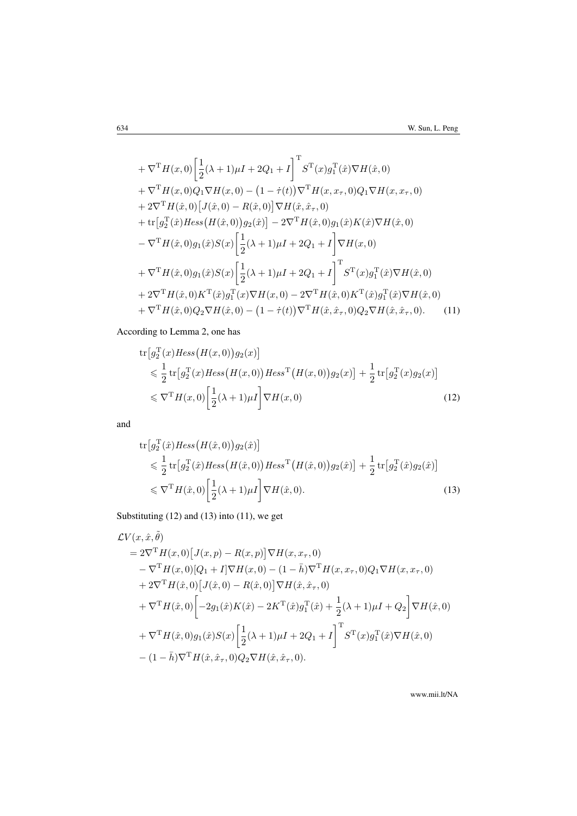+ 
$$
\nabla^{\mathrm{T}} H(x,0) \left[ \frac{1}{2} (\lambda + 1) \mu I + 2Q_1 + I \right]^{\mathrm{T}} S^{\mathrm{T}}(x) g_1^{\mathrm{T}}(\hat{x}) \nabla H(\hat{x},0) \n+ \nabla^{\mathrm{T}} H(x,0) Q_1 \nabla H(x,0) - (1 - \dot{\tau}(t)) \nabla^{\mathrm{T}} H(x, x_{\tau}, 0) Q_1 \nabla H(x, x_{\tau}, 0) \n+ 2 \nabla^{\mathrm{T}} H(\hat{x},0) [J(\hat{x},0) - R(\hat{x},0)] \nabla H(\hat{x}, \hat{x}_{\tau}, 0) \n+ \text{tr} [g_2^{\mathrm{T}}(\hat{x}) \text{Hess} (H(\hat{x},0)) g_2(\hat{x})] - 2 \nabla^{\mathrm{T}} H(\hat{x},0) g_1(\hat{x}) K(\hat{x}) \nabla H(\hat{x},0) \n- \nabla^{\mathrm{T}} H(\hat{x},0) g_1(\hat{x}) S(x) \left[ \frac{1}{2} (\lambda + 1) \mu I + 2Q_1 + I \right]^{\mathrm{T}} S^{\mathrm{T}}(x) g_1^{\mathrm{T}}(\hat{x}) \nabla H(\hat{x},0) \n+ \nabla^{\mathrm{T}} H(\hat{x},0) g_1(\hat{x}) S(x) \left[ \frac{1}{2} (\lambda + 1) \mu I + 2Q_1 + I \right]^{\mathrm{T}} S^{\mathrm{T}}(x) g_1^{\mathrm{T}}(\hat{x}) \nabla H(\hat{x},0) \n+ 2 \nabla^{\mathrm{T}} H(\hat{x},0) K^{\mathrm{T}}(\hat{x}) g_1^{\mathrm{T}}(x) \nabla H(x,0) - 2 \nabla^{\mathrm{T}} H(\hat{x},0) K^{\mathrm{T}}(\hat{x}) g_1^{\mathrm{T}}(\hat{x}) \nabla H(\hat{x},0) \n+ \nabla^{\mathrm{T}} H(\hat{x},0) Q_2 \nabla H(\hat{x},0) - (1 - \dot{\tau}(t)) \nabla^{\mathrm{T}} H(\hat{x}, \hat{x}_{\tau},0) Q_2 \nabla H(\hat{x}, \hat{x}_{\tau},0). \tag{11}
$$

According to Lemma [2,](#page-5-0) one has

<span id="page-8-2"></span>
$$
\text{tr}\left[g_2^{\text{T}}(x)Hess\left(H(x,0)\right)g_2(x)\right] \n\leq \frac{1}{2}\text{tr}\left[g_2^{\text{T}}(x)Hess\left(H(x,0)\right)Hess^{\text{T}}\left(H(x,0)\right)g_2(x)\right] + \frac{1}{2}\text{tr}\left[g_2^{\text{T}}(x)g_2(x)\right] \n\leq \nabla^{\text{T}}H(x,0)\left[\frac{1}{2}(\lambda+1)\mu I\right]\nabla H(x,0)
$$
\n(12)

and

<span id="page-8-1"></span><span id="page-8-0"></span>
$$
\text{tr}\left[g_2^{\text{T}}(\hat{x})Hess\left(H(\hat{x},0)\right)g_2(\hat{x})\right] \le \frac{1}{2}\text{tr}\left[g_2^{\text{T}}(\hat{x})Hess\left(H(\hat{x},0)\right)Hess^{\text{T}}\left(H(\hat{x},0)\right)g_2(\hat{x})\right] + \frac{1}{2}\text{tr}\left[g_2^{\text{T}}(\hat{x})g_2(\hat{x})\right] \le \nabla^{\text{T}}H(\hat{x},0)\left[\frac{1}{2}(\lambda+1)\mu I\right]\nabla H(\hat{x},0). \tag{13}
$$

Substituting [\(12\)](#page-8-0) and [\(13\)](#page-8-1) into [\(11\)](#page-8-2), we get

$$
\mathcal{L}V(x,\hat{x},\tilde{\theta})
$$
\n
$$
= 2\nabla^{\mathrm{T}}H(x,0)[J(x,p) - R(x,p)]\nabla H(x,x_{\tau},0)
$$
\n
$$
- \nabla^{\mathrm{T}}H(x,0)[Q_1 + I]\nabla H(x,0) - (1 - \bar{h})\nabla^{\mathrm{T}}H(x,x_{\tau},0)Q_1\nabla H(x,x_{\tau},0)
$$
\n
$$
+ 2\nabla^{\mathrm{T}}H(\hat{x},0)[J(\hat{x},0) - R(\hat{x},0)]\nabla H(\hat{x},\hat{x}_{\tau},0)
$$
\n
$$
+ \nabla^{\mathrm{T}}H(\hat{x},0)\left[-2g_1(\hat{x})K(\hat{x}) - 2K^{\mathrm{T}}(\hat{x})g_1^{\mathrm{T}}(\hat{x}) + \frac{1}{2}(\lambda + 1)\mu I + Q_2\right]\nabla H(\hat{x},0)
$$
\n
$$
+ \nabla^{\mathrm{T}}H(\hat{x},0)g_1(\hat{x})S(x)\left[\frac{1}{2}(\lambda + 1)\mu I + 2Q_1 + I\right]^{\mathrm{T}}S^{\mathrm{T}}(x)g_1^{\mathrm{T}}(\hat{x})\nabla H(\hat{x},0)
$$
\n
$$
- (1 - \bar{h})\nabla^{\mathrm{T}}H(\hat{x},\hat{x}_{\tau},0)Q_2\nabla H(\hat{x},\hat{x}_{\tau},0).
$$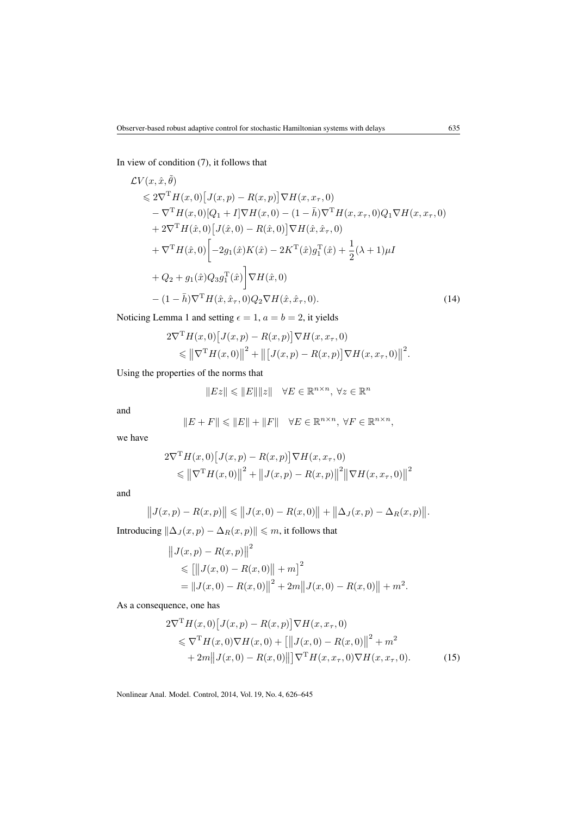In view of condition [\(7\)](#page-6-2), it follows that

$$
\mathcal{L}V(x,\hat{x},\tilde{\theta})\n\leq 2\nabla^{\mathrm{T}}H(x,0)[J(x,p)-R(x,p)]\nabla H(x,x_{\tau},0)\n- \nabla^{\mathrm{T}}H(x,0)[Q_1+I]\nabla H(x,0)-(1-\bar{h})\nabla^{\mathrm{T}}H(x,x_{\tau},0)Q_1\nabla H(x,x_{\tau},0)\n+ 2\nabla^{\mathrm{T}}H(\hat{x},0)[J(\hat{x},0)-R(\hat{x},0)]\nabla H(\hat{x},\hat{x}_{\tau},0)\n+ \nabla^{\mathrm{T}}H(\hat{x},0)[-2g_1(\hat{x})K(\hat{x})-2K^{\mathrm{T}}(\hat{x})g_1^{\mathrm{T}}(\hat{x})+\frac{1}{2}(\lambda+1)\mu I\n+ Q_2+g_1(\hat{x})Q_3g_1^{\mathrm{T}}(\hat{x})]\nabla H(\hat{x},0)\n- (1-\bar{h})\nabla^{\mathrm{T}}H(\hat{x},\hat{x}_{\tau},0)Q_2\nabla H(\hat{x},\hat{x}_{\tau},0).
$$
\n(14)

Noticing Lemma [1](#page-5-1) and setting  $\epsilon = 1$ ,  $a = b = 2$ , it yields

$$
2\nabla^{\mathrm{T}} H(x,0) [J(x,p) - R(x,p)] \nabla H(x, x_{\tau}, 0)
$$
  
\$\leq \left\| \nabla^{\mathrm{T}} H(x,0) \right\|^{2} + \left\| [J(x,p) - R(x,p)] \nabla H(x, x\_{\tau}, 0) \right\|^{2}\$.

Using the properties of the norms that

<span id="page-9-0"></span>
$$
||Ez|| \leq ||E|| ||z|| \quad \forall E \in \mathbb{R}^{n \times n}, \ \forall z \in \mathbb{R}^n
$$

and

$$
\|E+F\|\leqslant\|E\|+\|F\|\quad\forall E\in\mathbb{R}^{n\times n},\ \forall F\in\mathbb{R}^{n\times n},
$$

we have

$$
2\nabla^{\mathrm{T}} H(x,0) [J(x,p) - R(x,p)] \nabla H(x, x_{\tau}, 0)
$$
  
\n
$$
\leq ||\nabla^{\mathrm{T}} H(x,0)||^{2} + ||J(x,p) - R(x,p)||^{2} ||\nabla H(x, x_{\tau}, 0)||^{2}
$$

and

$$
||J(x,p) - R(x,p)|| \le ||J(x,0) - R(x,0)|| + ||\Delta_J(x,p) - \Delta_R(x,p)||.
$$

Introducing  $\left\|\Delta_J (x, p) - \Delta_R (x, p)\right\| \leqslant m$  , it follows that

$$
||J(x,p) - R(x,p)||2 \n\leq [||J(x,0) - R(x,0)|| + m]2 \n= ||J(x,0) - R(x,0)||2 + 2m||J(x,0) - R(x,0)|| + m2.
$$

As a consequence, one has

<span id="page-9-1"></span>
$$
2\nabla^{\mathbf{T}} H(x,0) \left[ J(x,p) - R(x,p) \right] \nabla H(x, x_{\tau}, 0)
$$
  
\n
$$
\leq \nabla^{\mathbf{T}} H(x,0) \nabla H(x,0) + \left[ \left\| J(x,0) - R(x,0) \right\|^2 + m^2 + 2m \left\| J(x,0) - R(x,0) \right\| \right] \nabla^{\mathbf{T}} H(x, x_{\tau}, 0) \nabla H(x, x_{\tau}, 0). \tag{15}
$$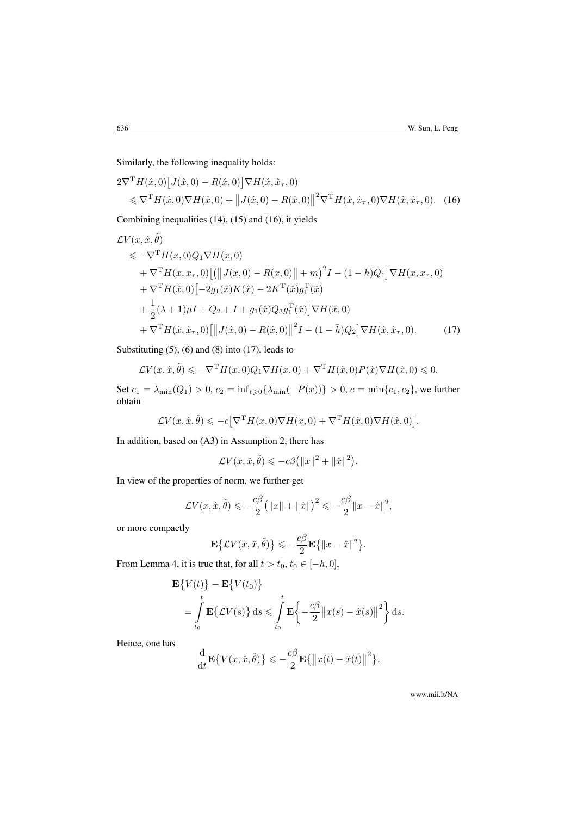Similarly, the following inequality holds:

<span id="page-10-0"></span>
$$
2\nabla^{\mathrm{T}} H(\hat{x},0) \left[ J(\hat{x},0) - R(\hat{x},0) \right] \nabla H(\hat{x},\hat{x}_{\tau},0)
$$
  
\$\leq \nabla^{\mathrm{T}} H(\hat{x},0) \nabla H(\hat{x},0) + \| J(\hat{x},0) - R(\hat{x},0) \|^2 \nabla^{\mathrm{T}} H(\hat{x},\hat{x}\_{\tau},0) \nabla H(\hat{x},\hat{x}\_{\tau},0). (16)

Combining inequalities [\(14\)](#page-9-0), [\(15\)](#page-9-1) and [\(16\)](#page-10-0), it yields

$$
\mathcal{L}V(x, \hat{x}, \tilde{\theta})
$$
  
\n
$$
\leq -\nabla^{\mathrm{T}}H(x, 0)Q_1 \nabla H(x, 0)
$$
  
\n
$$
+ \nabla^{\mathrm{T}}H(x, x_{\tau}, 0)[(||J(x, 0) - R(x, 0)|| + m)^2 I - (1 - \bar{h})Q_1] \nabla H(x, x_{\tau}, 0)
$$
  
\n
$$
+ \nabla^{\mathrm{T}}H(\hat{x}, 0)[-2g_1(\hat{x})K(\hat{x}) - 2K^{\mathrm{T}}(\hat{x})g_1^{\mathrm{T}}(\hat{x})
$$
  
\n
$$
+ \frac{1}{2}(\lambda + 1)\mu I + Q_2 + I + g_1(\hat{x})Q_3g_1^{\mathrm{T}}(\hat{x})]\nabla H(\hat{x}, 0)
$$
  
\n
$$
+ \nabla^{\mathrm{T}}H(\hat{x}, \hat{x}_{\tau}, 0)[||J(\hat{x}, 0) - R(\hat{x}, 0)||^2 I - (1 - \bar{h})Q_2]\nabla H(\hat{x}, \hat{x}_{\tau}, 0).
$$
 (17)

Substituting  $(5)$ ,  $(6)$  and  $(8)$  into  $(17)$ , leads to

$$
\mathcal{L}V(x,\hat{x},\tilde{\theta}) \leqslant -\nabla^{\mathrm{T}}H(x,0)Q_1\nabla H(x,0) + \nabla^{\mathrm{T}}H(\hat{x},0)P(\hat{x})\nabla H(\hat{x},0) \leqslant 0.
$$

Set  $c_1 = \lambda_{\min}(Q_1) > 0$ ,  $c_2 = \inf_{t \ge 0} {\lambda_{\min}(-P(x))} > 0$ ,  $c = \min\{c_1, c_2\}$ , we further obtain

$$
\mathcal{L}V(x,\hat{x},\tilde{\theta}) \leqslant -c\big[\nabla^{\mathrm{T}}H(x,0)\nabla H(x,0) + \nabla^{\mathrm{T}}H(\hat{x},0)\nabla H(\hat{x},0)\big].
$$

In addition, based on (A3) in Assumption [2,](#page-4-2) there has

<span id="page-10-1"></span>
$$
\mathcal{L} V(x,\hat{x},\tilde{\theta}) \leqslant -c\beta \big(\|x\|^2 + \|\hat{x}\|^2\big).
$$

In view of the properties of norm, we further get

$$
\mathcal{L}V(x,\hat{x},\tilde{\theta}) \leqslant -\frac{c\beta}{2} \big( \|x\| + \|\hat{x}\|\big)^2 \leqslant -\frac{c\beta}{2} \|x - \hat{x}\|^2,
$$

or more compactly

$$
\mathbf{E}\left\{\mathcal{L}V(x,\hat{x},\tilde{\theta})\right\} \leqslant -\frac{c\beta}{2}\mathbf{E}\left\{\|x-\hat{x}\|^2\right\}.
$$

From Lemma [4,](#page-5-2) it is true that, for all  $t > t_0$ ,  $t_0 \in [-h, 0]$ ,

$$
\mathbf{E}\{V(t)\} - \mathbf{E}\{V(t_0)\}
$$
  
= 
$$
\int_{t_0}^t \mathbf{E}\{\mathcal{L}V(s)\} ds \leq \int_{t_0}^t \mathbf{E}\left\{-\frac{c\beta}{2} ||x(s) - \hat{x}(s)||^2\right\} ds.
$$

Hence, one has

$$
\frac{\mathrm{d}}{\mathrm{d}t} \mathbf{E} \{ V(x, \hat{x}, \tilde{\theta}) \} \leqslant -\frac{c\beta}{2} \mathbf{E} \{ ||x(t) - \hat{x}(t)||^2 \}.
$$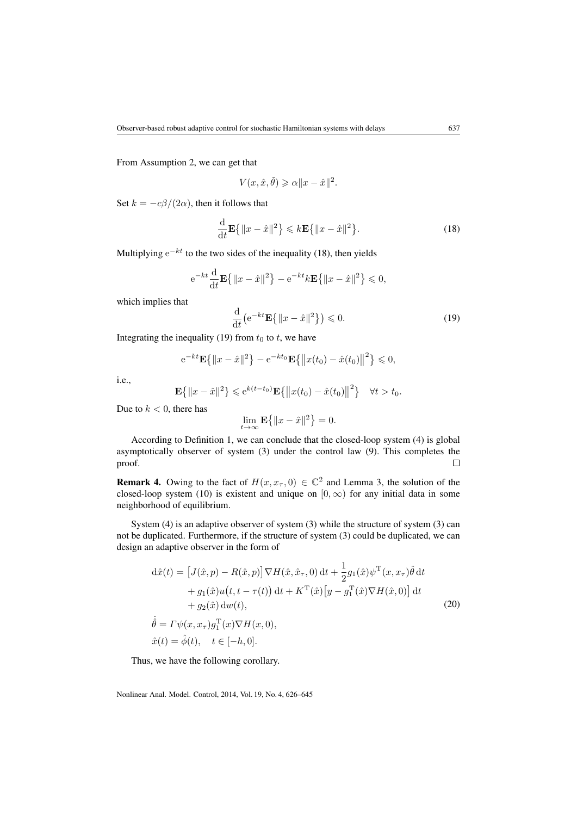From Assumption [2,](#page-4-2) we can get that

$$
V(x, \hat{x}, \tilde{\theta}) \geqslant \alpha \| x - \hat{x} \|^2.
$$

Set  $k = -c\beta/(2\alpha)$ , then it follows that

<span id="page-11-0"></span>
$$
\frac{\mathrm{d}}{\mathrm{d}t} \mathbf{E}\left\{\|x - \hat{x}\|^2\right\} \leq k \mathbf{E}\left\{\|x - \hat{x}\|^2\right\}.\tag{18}
$$

Multiplying  $e^{-kt}$  to the two sides of the inequality [\(18\)](#page-11-0), then yields

$$
e^{-kt} \frac{d}{dt} \mathbf{E} \{ ||x - \hat{x}||^2 \} - e^{-kt} k \mathbf{E} \{ ||x - \hat{x}||^2 \} \le 0,
$$

which implies that

<span id="page-11-1"></span>
$$
\frac{\mathrm{d}}{\mathrm{d}t} \left( e^{-kt} \mathbf{E} \{ ||x - \hat{x}||^2 \} \right) \leq 0. \tag{19}
$$

Integrating the inequality [\(19\)](#page-11-1) from  $t_0$  to  $t$ , we have

$$
e^{-kt}\mathbf{E}\{||x-\hat{x}||^2\} - e^{-kt_0}\mathbf{E}\{||x(t_0) - \hat{x}(t_0)||^2\} \le 0,
$$

i.e.,

$$
\mathbf{E}\{|x-\hat{x}||^2\} \leq e^{k(t-t_0)}\mathbf{E}\{|x(t_0)-\hat{x}(t_0)||^2\} \quad \forall t > t_0.
$$

Due to  $k < 0$ , there has

$$
\lim_{t \to \infty} \mathbf{E}\left\{ \|x - \hat{x}\|^2 \right\} = 0.
$$

According to Definition [1,](#page-4-3) we can conclude that the closed-loop system [\(4\)](#page-4-1) is global asymptotically observer of system [\(3\)](#page-4-0) under the control law [\(9\)](#page-6-1). This completes the proof.  $\Box$ 

**Remark 4.** Owing to the fact of  $H(x, x_7, 0) \in \mathbb{C}^2$  and Lemma [3,](#page-5-3) the solution of the closed-loop system [\(10\)](#page-7-0) is existent and unique on  $[0, \infty)$  for any initial data in some neighborhood of equilibrium.

System [\(4\)](#page-4-1) is an adaptive observer of system [\(3\)](#page-4-0) while the structure of system [\(3\)](#page-4-0) can not be duplicated. Furthermore, if the structure of system [\(3\)](#page-4-0) could be duplicated, we can design an adaptive observer in the form of

<span id="page-11-2"></span>
$$
\begin{split}\nd\hat{x}(t) &= \left[J(\hat{x}, p) - R(\hat{x}, p)\right] \nabla H(\hat{x}, \hat{x}_\tau, 0) \, \mathrm{d}t + \frac{1}{2} g_1(\hat{x}) \psi^\mathrm{T}(x, x_\tau) \hat{\theta} \, \mathrm{d}t \\
&\quad + g_1(\hat{x}) u(t, t - \tau(t)) \, \mathrm{d}t + K^\mathrm{T}(\hat{x}) \left[y - g_1^\mathrm{T}(\hat{x}) \nabla H(\hat{x}, 0)\right] \, \mathrm{d}t \\
&\quad + g_2(\hat{x}) \, \mathrm{d}w(t), \\
\hat{\theta} &= \Gamma \psi(x, x_\tau) g_1^\mathrm{T}(x) \nabla H(x, 0), \\
\hat{x}(t) &= \hat{\phi}(t), \quad t \in [-h, 0].\n\end{split} \tag{20}
$$

Thus, we have the following corollary.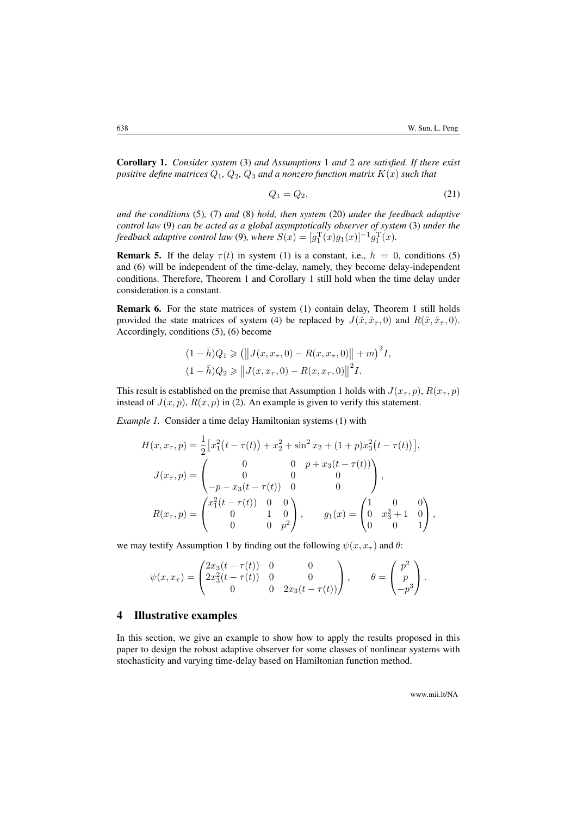<span id="page-12-1"></span>Corollary 1. *Consider system* [\(3\)](#page-4-0) *and Assumptions* [1](#page-3-0) *and* [2](#page-4-2) *are satisfied. If there exist positive define matrices*  $Q_1$ ,  $Q_2$ ,  $Q_3$  *and a nonzero function matrix*  $K(x)$  *such that* 

<span id="page-12-2"></span>
$$
Q_1 = Q_2,\tag{21}
$$

*and the conditions* [\(5\)](#page-6-3)*,* [\(7\)](#page-6-2) *and* [\(8\)](#page-6-5) *hold, then system* [\(20\)](#page-11-2) *under the feedback adaptive control law* [\(9\)](#page-6-1) *can be acted as a global asymptotically observer of system* [\(3\)](#page-4-0) *under the feedback adaptive control law* [\(9\)](#page-6-1), where  $S(x) = [g_1^{\rm T}(x)g_1(x)]^{-1}g_1^{\rm T}(x)$ .

**Remark 5.** If the delay  $\tau(t)$  in system [\(1\)](#page-2-1) is a constant, i.e.,  $\bar{h} = 0$ , conditions [\(5\)](#page-6-3) and [\(6\)](#page-6-4) will be independent of the time-delay, namely, they become delay-independent conditions. Therefore, Theorem [1](#page-6-6) and Corollary [1](#page-12-1) still hold when the time delay under consideration is a constant.

Remark 6. For the state matrices of system [\(1\)](#page-2-1) contain delay, Theorem [1](#page-6-6) still holds provided the state matrices of system [\(4\)](#page-4-1) be replaced by  $J(\hat{x}, \hat{x}_{\tau}, 0)$  and  $R(\hat{x}, \hat{x}_{\tau}, 0)$ . Accordingly, conditions [\(5\)](#page-6-3), [\(6\)](#page-6-4) become

$$
(1 - \bar{h})Q_1 \geq (\bigg\| J(x, x_{\tau}, 0) - R(x, x_{\tau}, 0) \bigg\| + m^2 I,
$$
  

$$
(1 - \bar{h})Q_2 \geq \bigg\| J(x, x_{\tau}, 0) - R(x, x_{\tau}, 0) \bigg\|^2 I.
$$

This result is established on the premise that Assumption [1](#page-3-0) holds with  $J(x_7, p)$ ,  $R(x_7, p)$ instead of  $J(x, p)$ ,  $R(x, p)$  in [\(2\)](#page-3-1). An example is given to verify this statement.

*Example 1.* Consider a time delay Hamiltonian systems [\(1\)](#page-2-1) with

$$
H(x, x_{\tau}, p) = \frac{1}{2} \left[ x_1^2 (t - \tau(t)) + x_2^2 + \sin^2 x_2 + (1 + p)x_3^2 (t - \tau(t)) \right],
$$
  
\n
$$
J(x_{\tau}, p) = \begin{pmatrix} 0 & 0 & p + x_3 (t - \tau(t)) \\ 0 & 0 & 0 \\ -p - x_3 (t - \tau(t)) & 0 & 0 \end{pmatrix},
$$
  
\n
$$
R(x_{\tau}, p) = \begin{pmatrix} x_1^2 (t - \tau(t)) & 0 & 0 \\ 0 & 1 & 0 \\ 0 & 0 & p^2 \end{pmatrix}, \qquad g_1(x) = \begin{pmatrix} 1 & 0 & 0 \\ 0 & x_3^2 + 1 & 0 \\ 0 & 0 & 1 \end{pmatrix},
$$

we may testify Assumption [1](#page-3-0) by finding out the following  $\psi(x, x)$  and  $\theta$ :

$$
\psi(x, x_{\tau}) = \begin{pmatrix} 2x_3(t - \tau(t)) & 0 & 0 \\ 2x_3^2(t - \tau(t)) & 0 & 0 \\ 0 & 0 & 2x_3(t - \tau(t)) \end{pmatrix}, \qquad \theta = \begin{pmatrix} p^2 \\ p \\ -p^3 \end{pmatrix}.
$$

## <span id="page-12-0"></span>4 Illustrative examples

In this section, we give an example to show how to apply the results proposed in this paper to design the robust adaptive observer for some classes of nonlinear systems with stochasticity and varying time-delay based on Hamiltonian function method.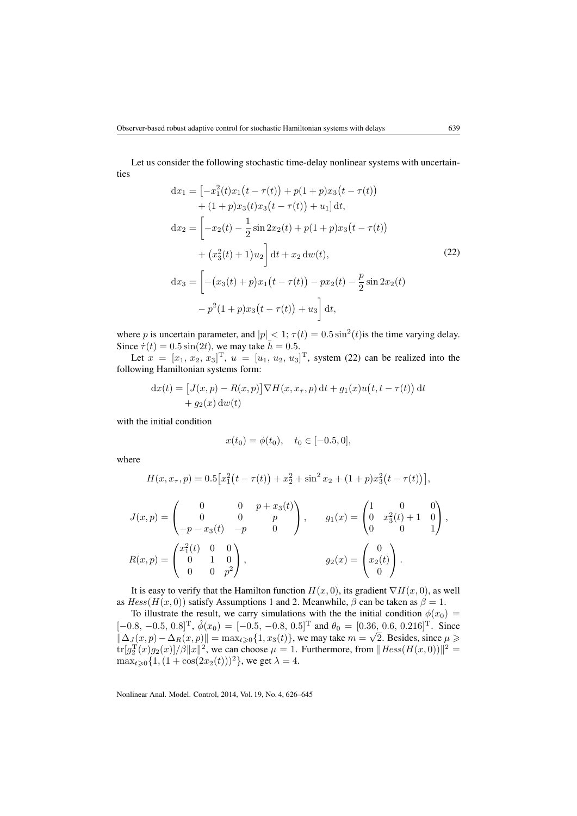Let us consider the following stochastic time-delay nonlinear systems with uncertainties

<span id="page-13-0"></span>
$$
dx_1 = \left[ -x_1^2(t)x_1(t - \tau(t)) + p(1+p)x_3(t - \tau(t)) + (1+p)x_3(t)x_3(t - \tau(t)) + u_1 \right]dt,
$$
  
\n
$$
dx_2 = \left[ -x_2(t) - \frac{1}{2}\sin 2x_2(t) + p(1+p)x_3(t - \tau(t)) + (x_3^2(t) + 1)u_2 \right]dt + x_2 dw(t),
$$
\n
$$
dx_3 = \left[ -\left( x_3(t) + p \right) x_1(t - \tau(t)) - px_2(t) - \frac{p}{2}\sin 2x_2(t) - p^2(1+p)x_3(t - \tau(t)) + u_3 \right]dt,
$$
\n(22)

where p is uncertain parameter, and  $|p| < 1$ ;  $\tau(t) = 0.5 \sin^2(t)$  is the time varying delay. Since  $\dot{\tau}(t) = 0.5 \sin(2t)$ , we may take  $\bar{h} = 0.5$ .

Let  $x = [x_1, x_2, x_3]^T$ ,  $u = [u_1, u_2, u_3]^T$ , system [\(22\)](#page-13-0) can be realized into the following Hamiltonian systems form:

$$
dx(t) = [J(x, p) - R(x, p)] \nabla H(x, x_\tau, p) dt + g_1(x)u(t, t - \tau(t)) dt
$$
  
+  $g_2(x) dw(t)$ 

with the initial condition

$$
x(t_0) = \phi(t_0), \quad t_0 \in [-0.5, 0],
$$

where

$$
H(x, x_{\tau}, p) = 0.5[x_1^2(t - \tau(t)) + x_2^2 + \sin^2 x_2 + (1 + p)x_3^2(t - \tau(t))],
$$

$$
J(x,p) = \begin{pmatrix} 0 & 0 & p+x_3(t) \\ 0 & 0 & p \\ -p-x_3(t) & -p & 0 \end{pmatrix}, \qquad g_1(x) = \begin{pmatrix} 1 & 0 & 0 \\ 0 & x_3^2(t) + 1 & 0 \\ 0 & 0 & 1 \end{pmatrix},
$$
  

$$
R(x,p) = \begin{pmatrix} x_1^2(t) & 0 & 0 \\ 0 & 1 & 0 \\ 0 & 0 & p^2 \end{pmatrix}, \qquad g_2(x) = \begin{pmatrix} 0 \\ x_2(t) \\ 0 \end{pmatrix}.
$$

It is easy to verify that the Hamilton function  $H(x, 0)$ , its gradient  $\nabla H(x, 0)$ , as well as  $Hess(H(x, 0))$  satisfy Assumptions [1](#page-3-0) and [2.](#page-4-2) Meanwhile,  $\beta$  can be taken as  $\beta = 1$ .

To illustrate the result, we carry simulations with the the initial condition  $\phi(x_0)$  =  $[-0.8, -0.5, 0.8]^T$ ,  $\hat{\phi}(x_0) = [-0.5, -0.8, 0.5]^T$  and  $\theta_0 = [0.36, 0.6, 0.216]^T$ . Since  $\|\Delta_J (x, p) - \Delta_R (x, p)\| = \max_{t \geq 0} \{1, x_3(t)\}\)$ , we may take  $m =$  $\sqrt{2}$ . Besides, since  $\mu \geqslant$  $tr[g_2^{T}(x)g_2(x)]/\beta ||x||^2$ , we can choose  $\mu = 1$ . Furthermore, from  $||Hess(H(x, 0))||^2 =$  $\max_{t \ge 0} \{1, (1 + \cos(2x_2(t)))^2\}$ , we get  $\lambda = 4$ .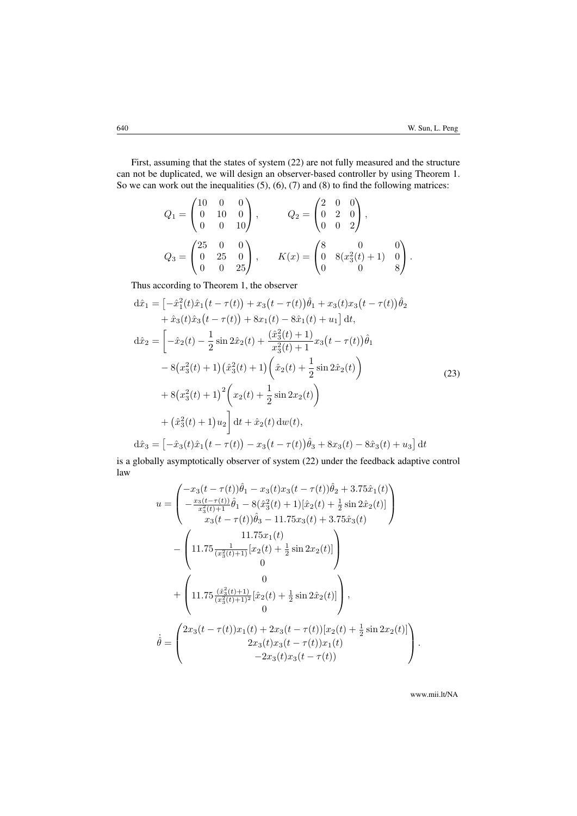First, assuming that the states of system [\(22\)](#page-13-0) are not fully measured and the structure can not be duplicated, we will design an observer-based controller by using Theorem [1.](#page-6-6) So we can work out the inequalities  $(5)$ ,  $(6)$ ,  $(7)$  and  $(8)$  to find the following matrices:

$$
Q_1 = \begin{pmatrix} 10 & 0 & 0 \\ 0 & 10 & 0 \\ 0 & 0 & 10 \end{pmatrix}, \qquad Q_2 = \begin{pmatrix} 2 & 0 & 0 \\ 0 & 2 & 0 \\ 0 & 0 & 2 \end{pmatrix},
$$
  

$$
Q_3 = \begin{pmatrix} 25 & 0 & 0 \\ 0 & 25 & 0 \\ 0 & 0 & 25 \end{pmatrix}, \qquad K(x) = \begin{pmatrix} 8 & 0 & 0 \\ 0 & 8(x_3^2(t) + 1) & 0 \\ 0 & 0 & 8 \end{pmatrix}.
$$

Thus according to Theorem [1,](#page-6-6) the observer

<span id="page-14-0"></span>
$$
d\hat{x}_1 = \left[ -\hat{x}_1^2(t)\hat{x}_1(t-\tau(t)) + x_3(t-\tau(t))\hat{\theta}_1 + x_3(t)x_3(t-\tau(t))\hat{\theta}_2 \right. \n+ \hat{x}_3(t)\hat{x}_3(t-\tau(t)) + 8x_1(t) - 8\hat{x}_1(t) + u_1 \right] dt,\nd\hat{x}_2 = \left[ -\hat{x}_2(t) - \frac{1}{2}\sin 2\hat{x}_2(t) + \frac{(\hat{x}_3^2(t) + 1)}{x_3^2(t) + 1}x_3(t-\tau(t))\hat{\theta}_1 \right. \n- 8\left(x_3^2(t) + 1\right)\left(\hat{x}_3^2(t) + 1\right)\left(\hat{x}_2(t) + \frac{1}{2}\sin 2\hat{x}_2(t)\right) \n+ 8\left(x_3^2(t) + 1\right)^2 \left(x_2(t) + \frac{1}{2}\sin 2x_2(t)\right) \n+ \left(\hat{x}_3^2(t) + 1\right)u_2 \right] dt + \hat{x}_2(t) dw(t),\nd\hat{x}_3 = \left[ -\hat{x}_3(t)\hat{x}_1(t-\tau(t)) - x_3(t-\tau(t))\hat{\theta}_3 + 8x_3(t) - 8\hat{x}_3(t) + u_3 \right] dt
$$
\n(23)

is a globally asymptotically observer of system [\(22\)](#page-13-0) under the feedback adaptive control law

$$
u = \begin{pmatrix} -x_3(t-\tau(t))\hat{\theta}_1 - x_3(t)x_3(t-\tau(t))\hat{\theta}_2 + 3.75\hat{x}_1(t) \\ -\frac{x_3(t-\tau(t))}{x_3^2(t)+1}\hat{\theta}_1 - 8(\hat{x}_3^2(t)+1)[\hat{x}_2(t)+\frac{1}{2}\sin 2\hat{x}_2(t)] \\ x_3(t-\tau(t))\hat{\theta}_3 - 11.75x_3(t) + 3.75\hat{x}_3(t) \end{pmatrix}
$$

$$
- \begin{pmatrix} 11.75x_1(t) \\ 11.75\frac{1}{(x_3^2(t)+1)}[x_2(t)+\frac{1}{2}\sin 2x_2(t)] \\ 0 \end{pmatrix} + \begin{pmatrix} 0 \\ 11.75\frac{(\hat{x}_3^2(t)+1)}{(x_3^2(t)+1)^2}[\hat{x}_2(t)+\frac{1}{2}\sin 2\hat{x}_2(t)] \\ 0 \end{pmatrix},
$$

$$
\hat{\theta} = \begin{pmatrix} 2x_3(t-\tau(t))x_1(t) + 2x_3(t-\tau(t))[x_2(t)+\frac{1}{2}\sin 2x_2(t)] \\ 2x_3(t)x_3(t-\tau(t))x_1(t) \\ -2x_3(t)x_3(t-\tau(t)) \end{pmatrix}.
$$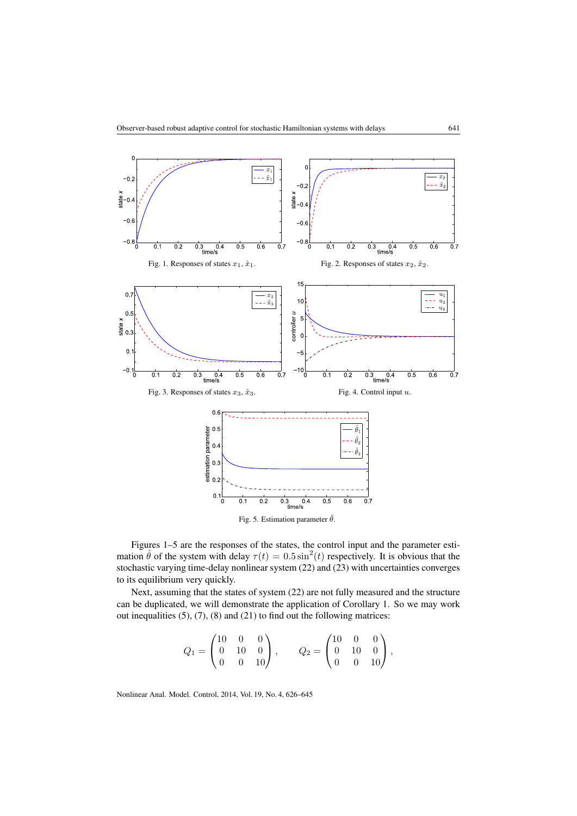<span id="page-15-0"></span>

Figures [1–5](#page-15-0) are the responses of the states, the control input and the parameter estimation  $\hat{\theta}$  of the system with delay  $\tau(t) = 0.5 \sin^2(t)$  respectively. It is obvious that the stochastic varying time-delay nonlinear system [\(22\)](#page-13-0) and [\(23\)](#page-14-0) with uncertainties converges to its equilibrium very quickly.

Next, assuming that the states of system [\(22\)](#page-13-0) are not fully measured and the structure can be duplicated, we will demonstrate the application of Corollary [1.](#page-12-1) So we may work out inequalities [\(5\)](#page-6-3), [\(7\)](#page-6-2), [\(8\)](#page-6-5) and [\(21\)](#page-12-2) to find out the following matrices:

$$
Q_1 = \begin{pmatrix} 10 & 0 & 0 \\ 0 & 10 & 0 \\ 0 & 0 & 10 \end{pmatrix}, \qquad Q_2 = \begin{pmatrix} 10 & 0 & 0 \\ 0 & 10 & 0 \\ 0 & 0 & 10 \end{pmatrix},
$$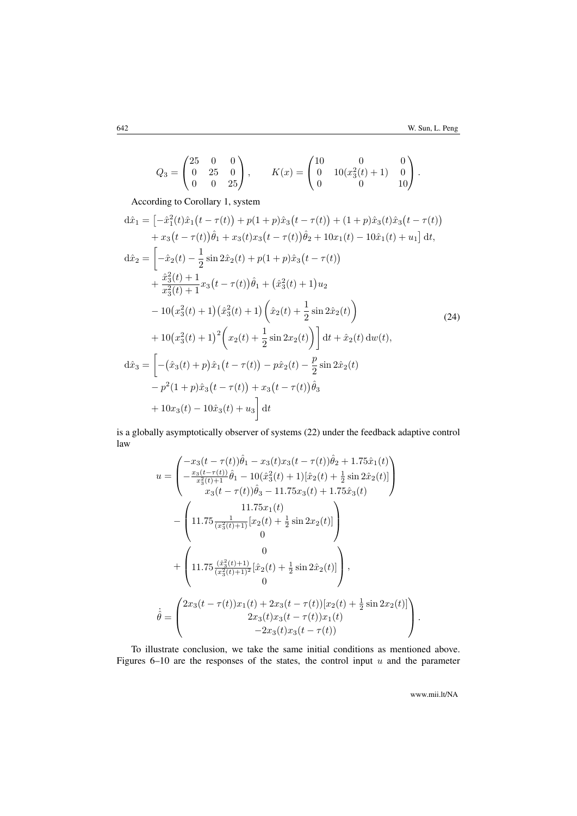$$
Q_3 = \begin{pmatrix} 25 & 0 & 0 \\ 0 & 25 & 0 \\ 0 & 0 & 25 \end{pmatrix}, \qquad K(x) = \begin{pmatrix} 10 & 0 & 0 \\ 0 & 10(x_3^2(t) + 1) & 0 \\ 0 & 0 & 10 \end{pmatrix}.
$$

According to Corollary [1,](#page-12-1) system

<span id="page-16-0"></span>
$$
d\hat{x}_1 = \left[ -\hat{x}_1^2(t)\hat{x}_1(t-\tau(t)) + p(1+p)\hat{x}_3(t-\tau(t)) + (1+p)\hat{x}_3(t)\hat{x}_3(t-\tau(t)) \right. \n+ x_3(t-\tau(t))\hat{\theta}_1 + x_3(t)x_3(t-\tau(t))\hat{\theta}_2 + 10x_1(t) - 10\hat{x}_1(t) + u_1 \right] dt,\nd\hat{x}_2 = \left[ -\hat{x}_2(t) - \frac{1}{2}\sin 2\hat{x}_2(t) + p(1+p)\hat{x}_3(t-\tau(t)) \right. \n+ \frac{\hat{x}_3^2(t) + 1}{x_3^2(t) + 1}x_3(t-\tau(t))\hat{\theta}_1 + (\hat{x}_3^2(t) + 1)u_2 \n- 10(x_3^2(t) + 1)(\hat{x}_3^2(t) + 1)(\hat{x}_2(t) + \frac{1}{2}\sin 2\hat{x}_2(t)) \n+ 10(x_3^2(t) + 1)^2 \left( x_2(t) + \frac{1}{2}\sin 2x_2(t) \right) \right] dt + \hat{x}_2(t) dw(t),\nd\hat{x}_3 = \left[ -(\hat{x}_3(t) + p)\hat{x}_1(t-\tau(t)) - p\hat{x}_2(t) - \frac{p}{2}\sin 2\hat{x}_2(t) \n- p^2(1+p)\hat{x}_3(t-\tau(t)) + x_3(t-\tau(t))\hat{\theta}_3 \n+ 10x_3(t) - 10\hat{x}_3(t) + u_3 \right] dt
$$

is a globally asymptotically observer of systems [\(22\)](#page-13-0) under the feedback adaptive control law

$$
u = \begin{pmatrix} -x_3(t - \tau(t))\hat{\theta}_1 - x_3(t)x_3(t - \tau(t))\hat{\theta}_2 + 1.75\hat{x}_1(t) \\ -\frac{x_3(t - \tau(t))}{x_3^2(t) + 1}\hat{\theta}_1 - 10(\hat{x}_3^2(t) + 1)[\hat{x}_2(t) + \frac{1}{2}\sin 2\hat{x}_2(t)] \\ x_3(t - \tau(t))\hat{\theta}_3 - 11.75x_3(t) + 1.75\hat{x}_3(t) \end{pmatrix}
$$

$$
- \begin{pmatrix} 11.75\frac{1}{(x_3^2(t) + 1)}[x_2(t) + \frac{1}{2}\sin 2x_2(t)] \\ 0 \end{pmatrix}
$$

$$
+ \begin{pmatrix} 0 \\ 11.75\frac{(\hat{x}_3^2(t) + 1)}{(x_3^2(t) + 1)^2}[\hat{x}_2(t) + \frac{1}{2}\sin 2\hat{x}_2(t)] \\ 0 \end{pmatrix},
$$

$$
\dot{\theta} = \begin{pmatrix} 2x_3(t - \tau(t))x_1(t) + 2x_3(t - \tau(t))[x_2(t) + \frac{1}{2}\sin 2x_2(t)] \\ 2x_3(t)x_3(t - \tau(t))x_1(t) \\ -2x_3(t)x_3(t - \tau(t)) \end{pmatrix}.
$$

To illustrate conclusion, we take the same initial conditions as mentioned above. Figures  $6-10$  are the responses of the states, the control input u and the parameter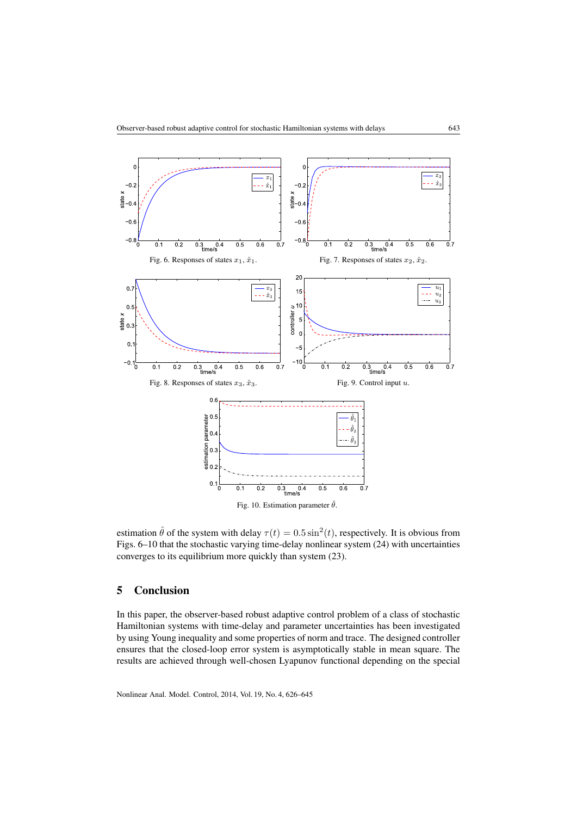<span id="page-17-1"></span>

estimation  $\hat{\theta}$  of the system with delay  $\tau(t) = 0.5 \sin^2(t)$ , respectively. It is obvious from Figs. [6–10](#page-17-1) that the stochastic varying time-delay nonlinear system [\(24\)](#page-16-0) with uncertainties converges to its equilibrium more quickly than system [\(23\)](#page-14-0).

## <span id="page-17-0"></span>5 Conclusion

In this paper, the observer-based robust adaptive control problem of a class of stochastic Hamiltonian systems with time-delay and parameter uncertainties has been investigated by using Young inequality and some properties of norm and trace. The designed controller ensures that the closed-loop error system is asymptotically stable in mean square. The results are achieved through well-chosen Lyapunov functional depending on the special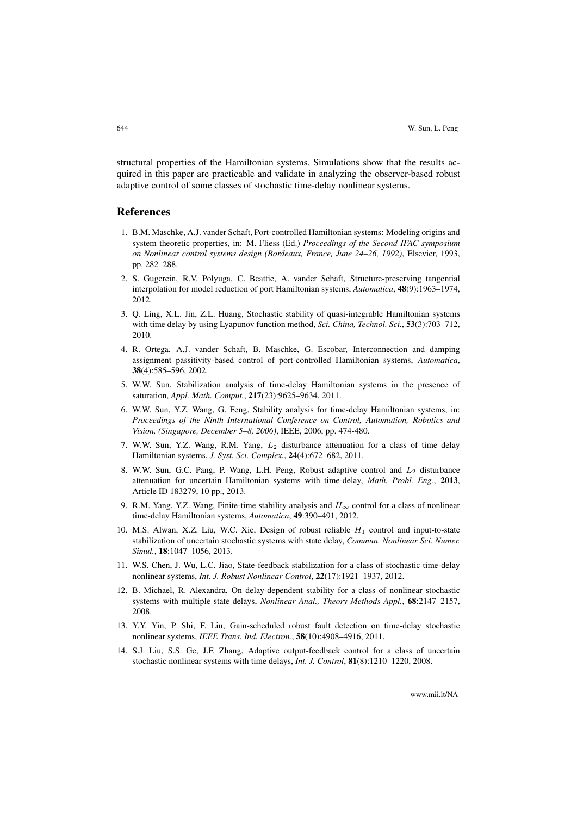structural properties of the Hamiltonian systems. Simulations show that the results acquired in this paper are practicable and validate in analyzing the observer-based robust adaptive control of some classes of stochastic time-delay nonlinear systems.

#### References

- <span id="page-18-0"></span>1. B.M. Maschke, A.J. vander Schaft, Port-controlled Hamiltonian systems: Modeling origins and system theoretic properties, in: M. Fliess (Ed.) *Proceedings of the Second IFAC symposium on Nonlinear control systems design (Bordeaux, France, June 24–26, 1992)*, Elsevier, 1993, pp. 282–288.
- <span id="page-18-1"></span>2. S. Gugercin, R.V. Polyuga, C. Beattie, A. vander Schaft, Structure-preserving tangential interpolation for model reduction of port Hamiltonian systems, *Automatica*, 48(9):1963–1974, 2012.
- 3. Q. Ling, X.L. Jin, Z.L. Huang, Stochastic stability of quasi-integrable Hamiltonian systems with time delay by using Lyapunov function method, *Sci. China, Technol. Sci.*, 53(3):703–712, 2010.
- <span id="page-18-2"></span>4. R. Ortega, A.J. vander Schaft, B. Maschke, G. Escobar, Interconnection and damping assignment passitivity-based control of port-controlled Hamiltonian systems, *Automatica*, 38(4):585–596, 2002.
- <span id="page-18-3"></span>5. W.W. Sun, Stabilization analysis of time-delay Hamiltonian systems in the presence of saturation, *Appl. Math. Comput.*, 217(23):9625–9634, 2011.
- 6. W.W. Sun, Y.Z. Wang, G. Feng, Stability analysis for time-delay Hamiltonian systems, in: *Proceedings of the Ninth International Conference on Control, Automation, Robotics and Vision, (Singapore, December 5–8, 2006)*, IEEE, 2006, pp. 474-480.
- <span id="page-18-5"></span>7. W.W. Sun, Y.Z. Wang, R.M. Yang,  $L_2$  disturbance attenuation for a class of time delay Hamiltonian systems, *J. Syst. Sci. Complex.*, 24(4):672–682, 2011.
- <span id="page-18-4"></span>8. W.W. Sun, G.C. Pang, P. Wang, L.H. Peng, Robust adaptive control and  $L_2$  disturbance attenuation for uncertain Hamiltonian systems with time-delay, *Math. Probl. Eng.*, 2013, Article ID 183279, 10 pp., 2013.
- <span id="page-18-6"></span>9. R.M. Yang, Y.Z. Wang, Finite-time stability analysis and  $H_{\infty}$  control for a class of nonlinear time-delay Hamiltonian systems, *Automatica*, 49:390–491, 2012.
- <span id="page-18-7"></span>10. M.S. Alwan, X.Z. Liu, W.C. Xie, Design of robust reliable  $H_1$  control and input-to-state stabilization of uncertain stochastic systems with state delay, *Commun. Nonlinear Sci. Numer. Simul.*, 18:1047–1056, 2013.
- 11. W.S. Chen, J. Wu, L.C. Jiao, State-feedback stabilization for a class of stochastic time-delay nonlinear systems, *Int. J. Robust Nonlinear Control*, 22(17):1921–1937, 2012.
- 12. B. Michael, R. Alexandra, On delay-dependent stability for a class of nonlinear stochastic systems with multiple state delays, *Nonlinear Anal., Theory Methods Appl.*, 68:2147–2157, 2008.
- <span id="page-18-8"></span>13. Y.Y. Yin, P. Shi, F. Liu, Gain-scheduled robust fault detection on time-delay stochastic nonlinear systems, *IEEE Trans. Ind. Electron.*, 58(10):4908–4916, 2011.
- <span id="page-18-9"></span>14. S.J. Liu, S.S. Ge, J.F. Zhang, Adaptive output-feedback control for a class of uncertain stochastic nonlinear systems with time delays, *Int. J. Control*, 81(8):1210–1220, 2008.